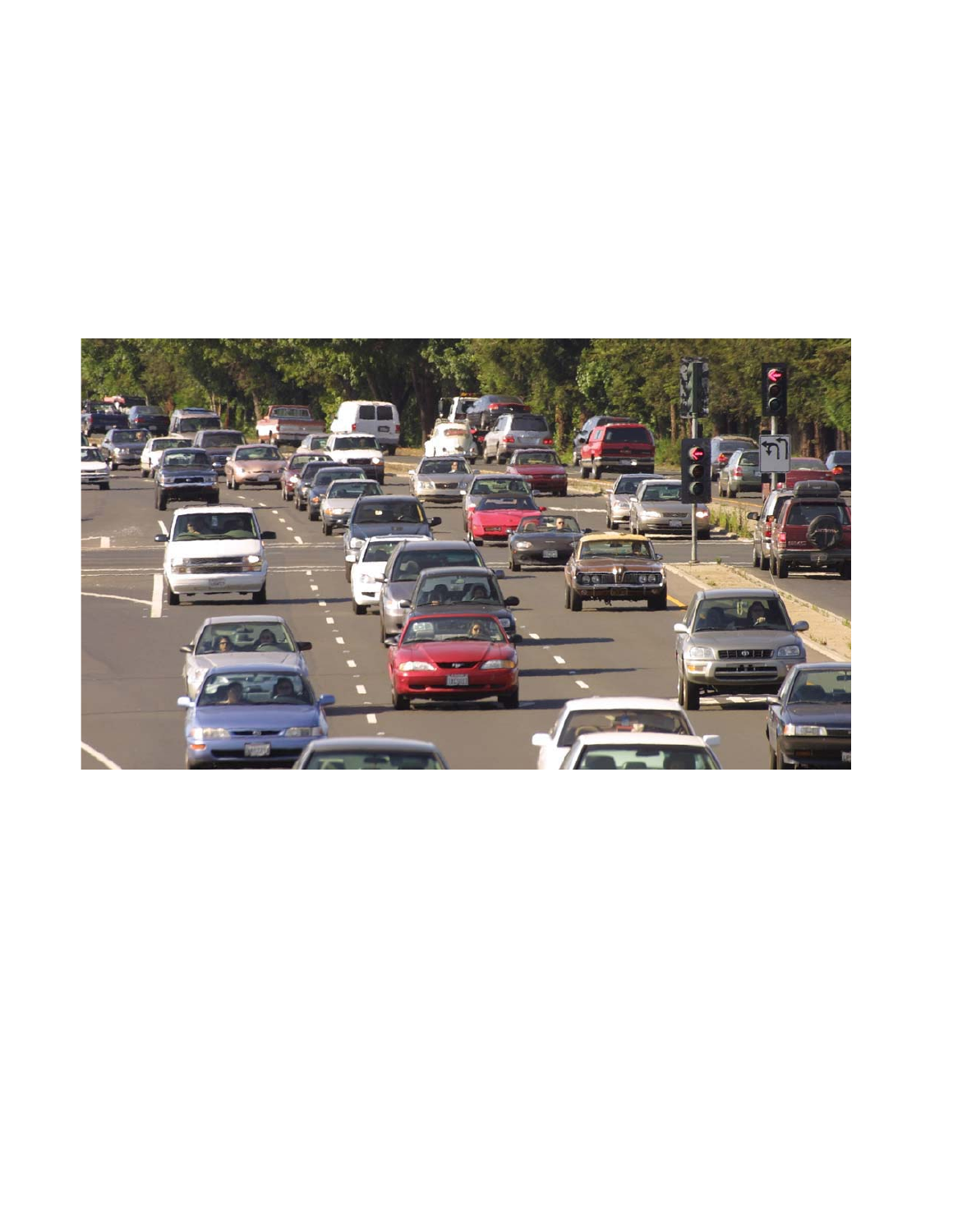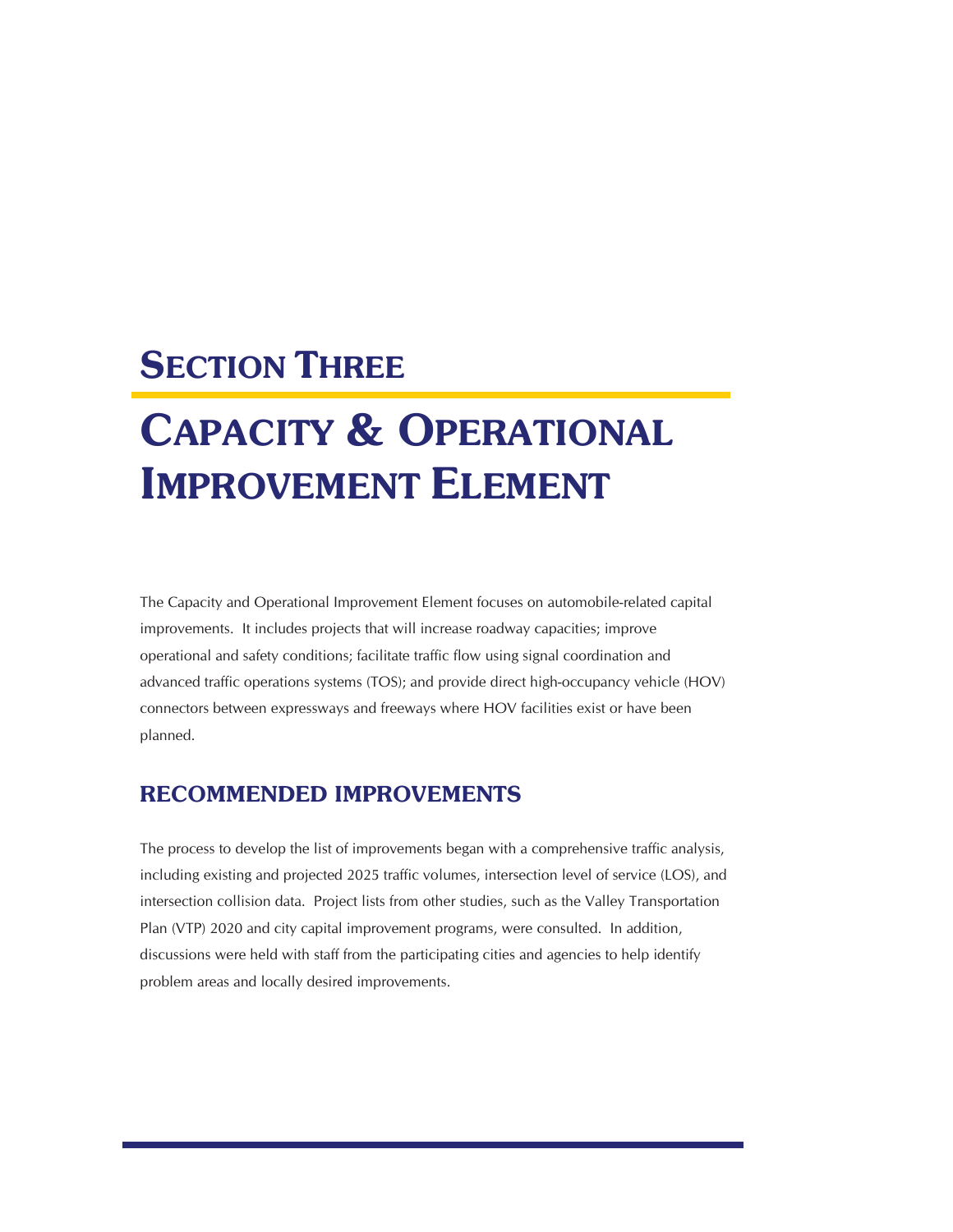# **SECTION THREE**

# CAPACITY & OPERATIONAL IMPROVEMENT ELEMENT

The Capacity and Operational Improvement Element focuses on automobile-related capital improvements. It includes projects that will increase roadway capacities; improve operational and safety conditions; facilitate traffic flow using signal coordination and advanced traffic operations systems (TOS); and provide direct high-occupancy vehicle (HOV) connectors between expressways and freeways where HOV facilities exist or have been planned.

#### RECOMMENDED IMPROVEMENTS

The process to develop the list of improvements began with a comprehensive traffic analysis, including existing and projected 2025 traffic volumes, intersection level of service (LOS), and intersection collision data. Project lists from other studies, such as the Valley Transportation Plan (VTP) 2020 and city capital improvement programs, were consulted. In addition, discussions were held with staff from the participating cities and agencies to help identify problem areas and locally desired improvements.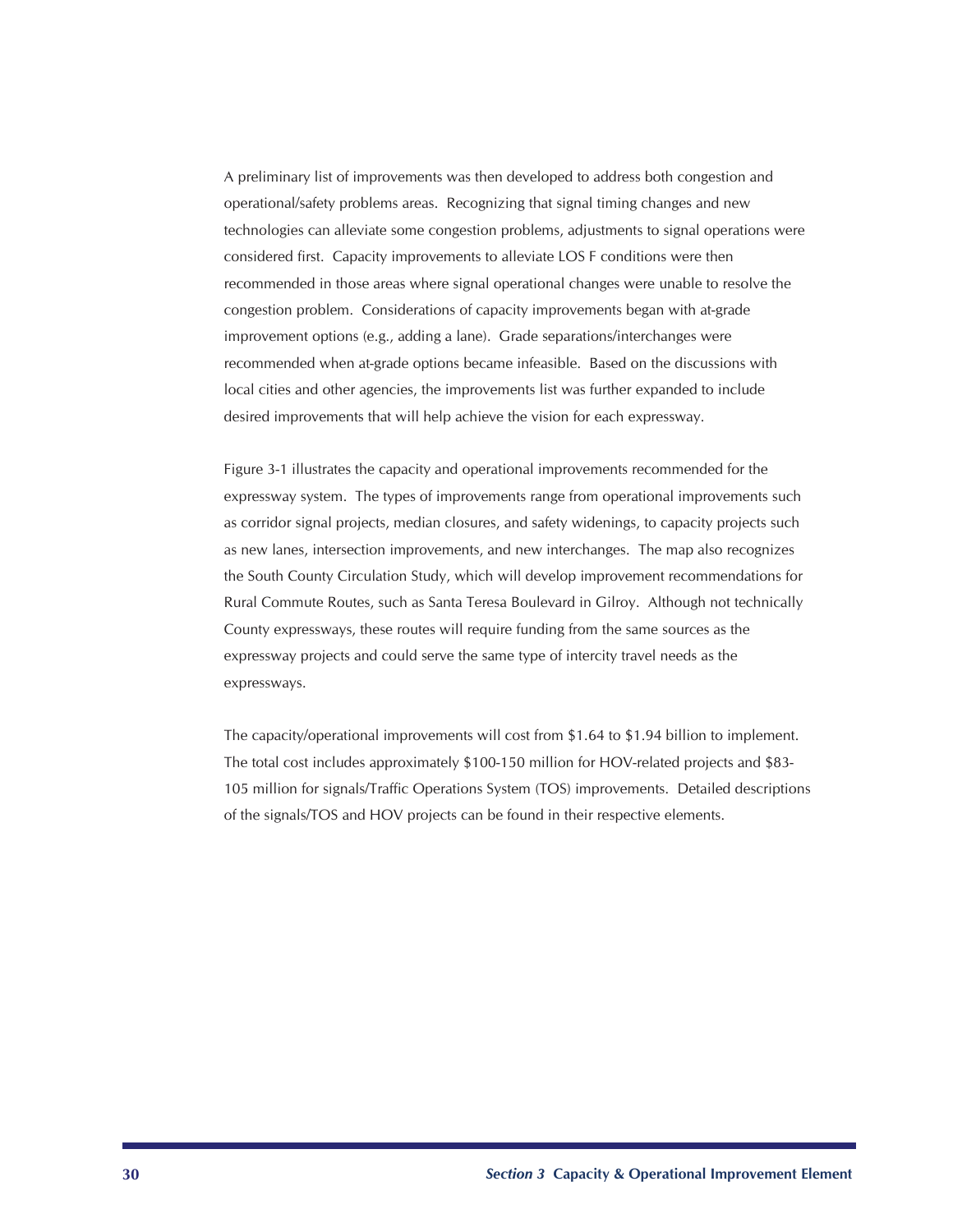A preliminary list of improvements was then developed to address both congestion and operational/safety problems areas. Recognizing that signal timing changes and new technologies can alleviate some congestion problems, adjustments to signal operations were considered first. Capacity improvements to alleviate LOS F conditions were then recommended in those areas where signal operational changes were unable to resolve the congestion problem. Considerations of capacity improvements began with at-grade improvement options (e.g., adding a lane). Grade separations/interchanges were recommended when at-grade options became infeasible. Based on the discussions with local cities and other agencies, the improvements list was further expanded to include desired improvements that will help achieve the vision for each expressway.

Figure 3-1 illustrates the capacity and operational improvements recommended for the expressway system. The types of improvements range from operational improvements such as corridor signal projects, median closures, and safety widenings, to capacity projects such as new lanes, intersection improvements, and new interchanges. The map also recognizes the South County Circulation Study, which will develop improvement recommendations for Rural Commute Routes, such as Santa Teresa Boulevard in Gilroy. Although not technically County expressways, these routes will require funding from the same sources as the expressway projects and could serve the same type of intercity travel needs as the expressways.

The capacity/operational improvements will cost from \$1.64 to \$1.94 billion to implement. The total cost includes approximately \$100-150 million for HOV-related projects and \$83- 105 million for signals/Traffic Operations System (TOS) improvements. Detailed descriptions of the signals/TOS and HOV projects can be found in their respective elements.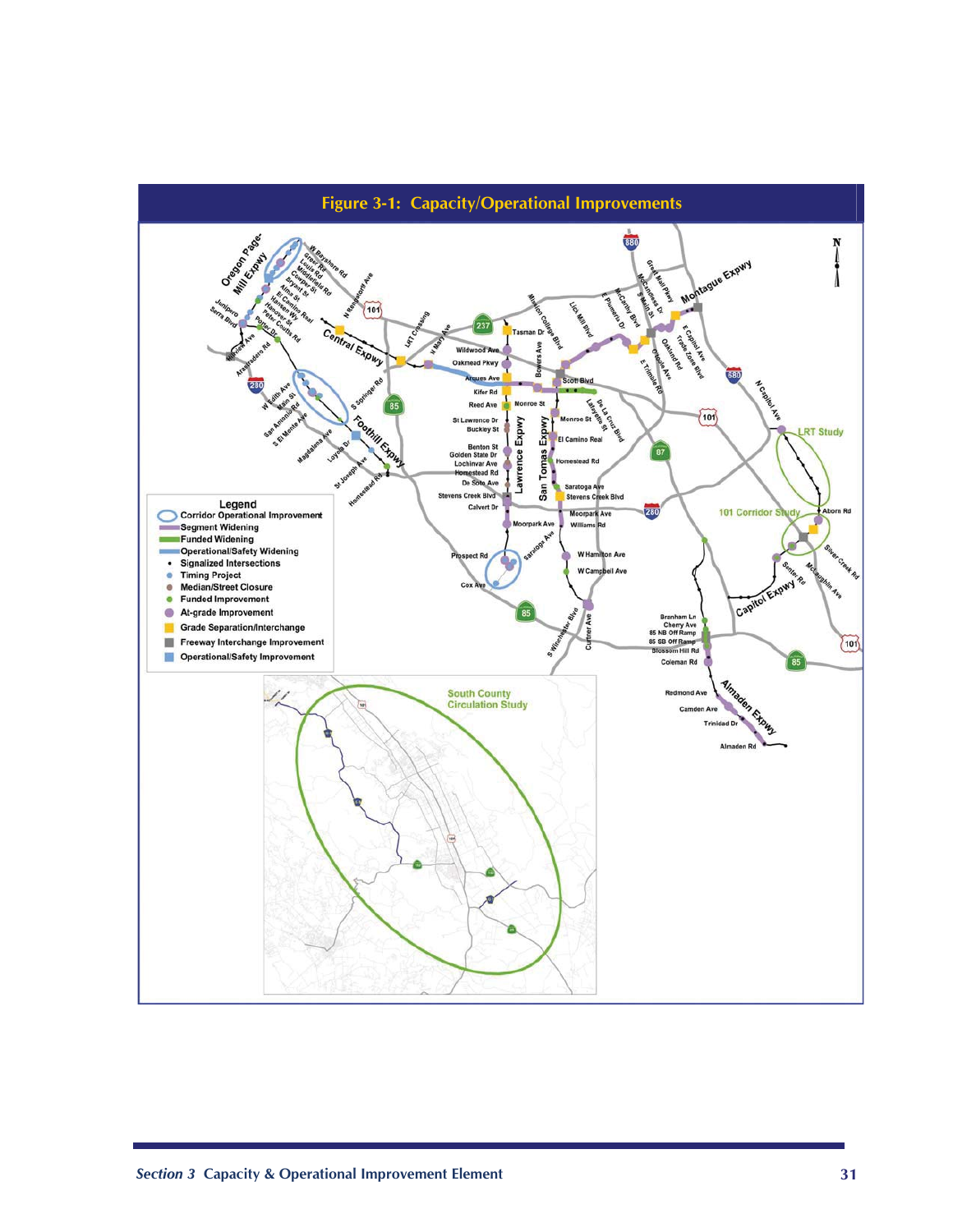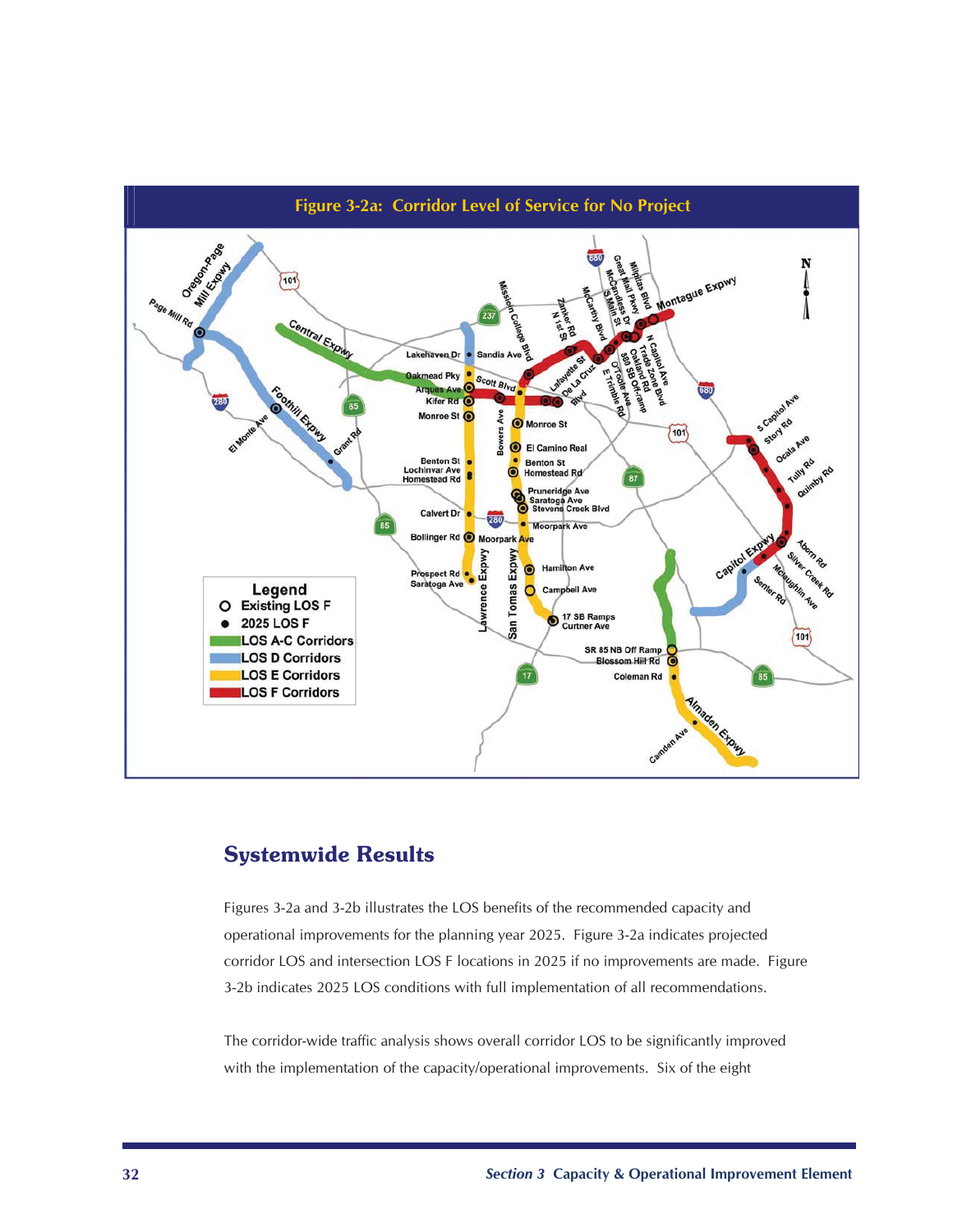

#### Systemwide Results

Figures 3-2a and 3-2b illustrates the LOS benefits of the recommended capacity and operational improvements for the planning year 2025. Figure 3-2a indicates projected corridor LOS and intersection LOS F locations in 2025 if no improvements are made. Figure 3-2b indicates 2025 LOS conditions with full implementation of all recommendations.

The corridor-wide traffic analysis shows overall corridor LOS to be significantly improved with the implementation of the capacity/operational improvements. Six of the eight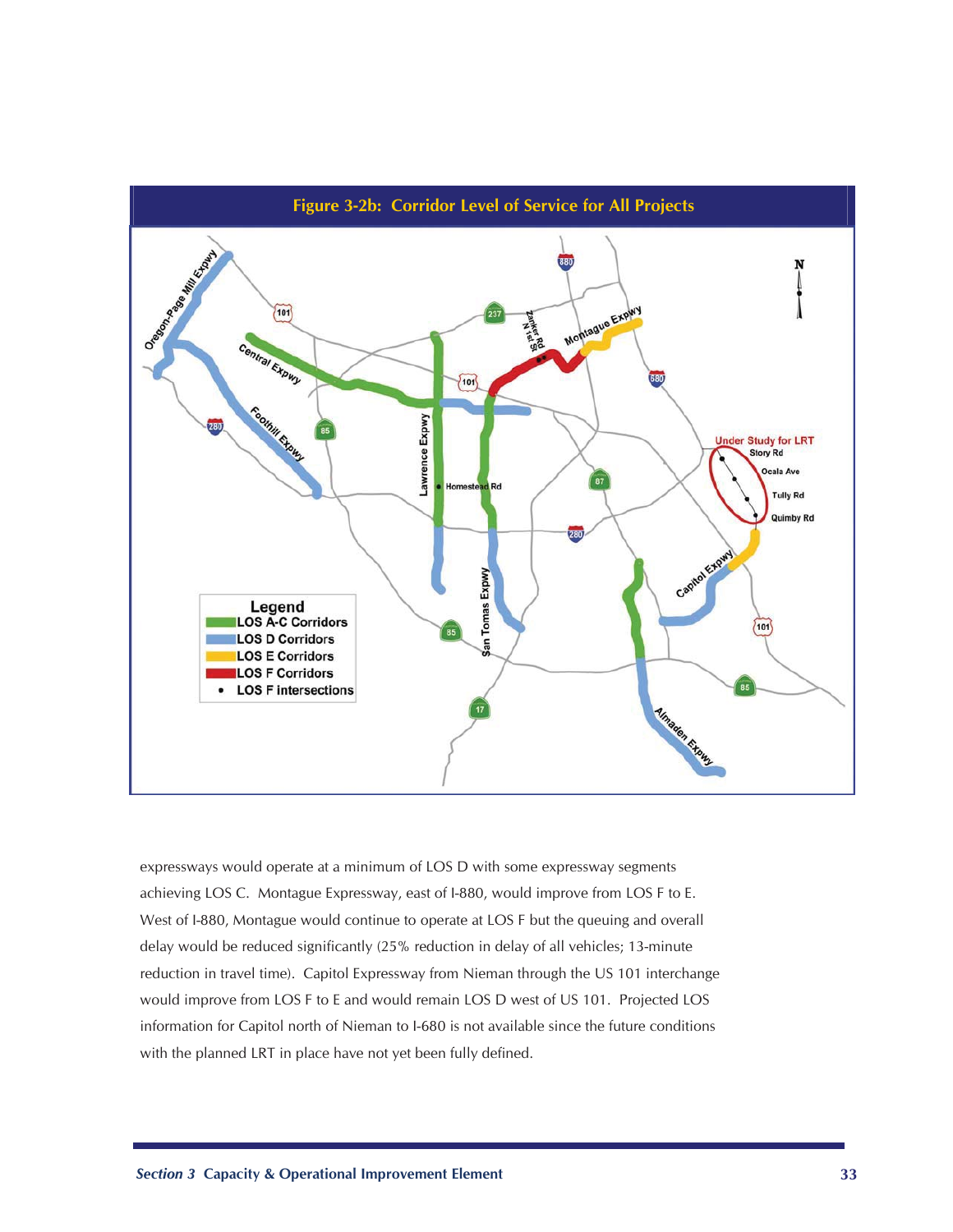

expressways would operate at a minimum of LOS D with some expressway segments achieving LOS C. Montague Expressway, east of I-880, would improve from LOS F to E. West of I-880, Montague would continue to operate at LOS F but the queuing and overall delay would be reduced significantly (25% reduction in delay of all vehicles; 13-minute reduction in travel time). Capitol Expressway from Nieman through the US 101 interchange would improve from LOS F to E and would remain LOS D west of US 101. Projected LOS information for Capitol north of Nieman to I-680 is not available since the future conditions with the planned LRT in place have not yet been fully defined.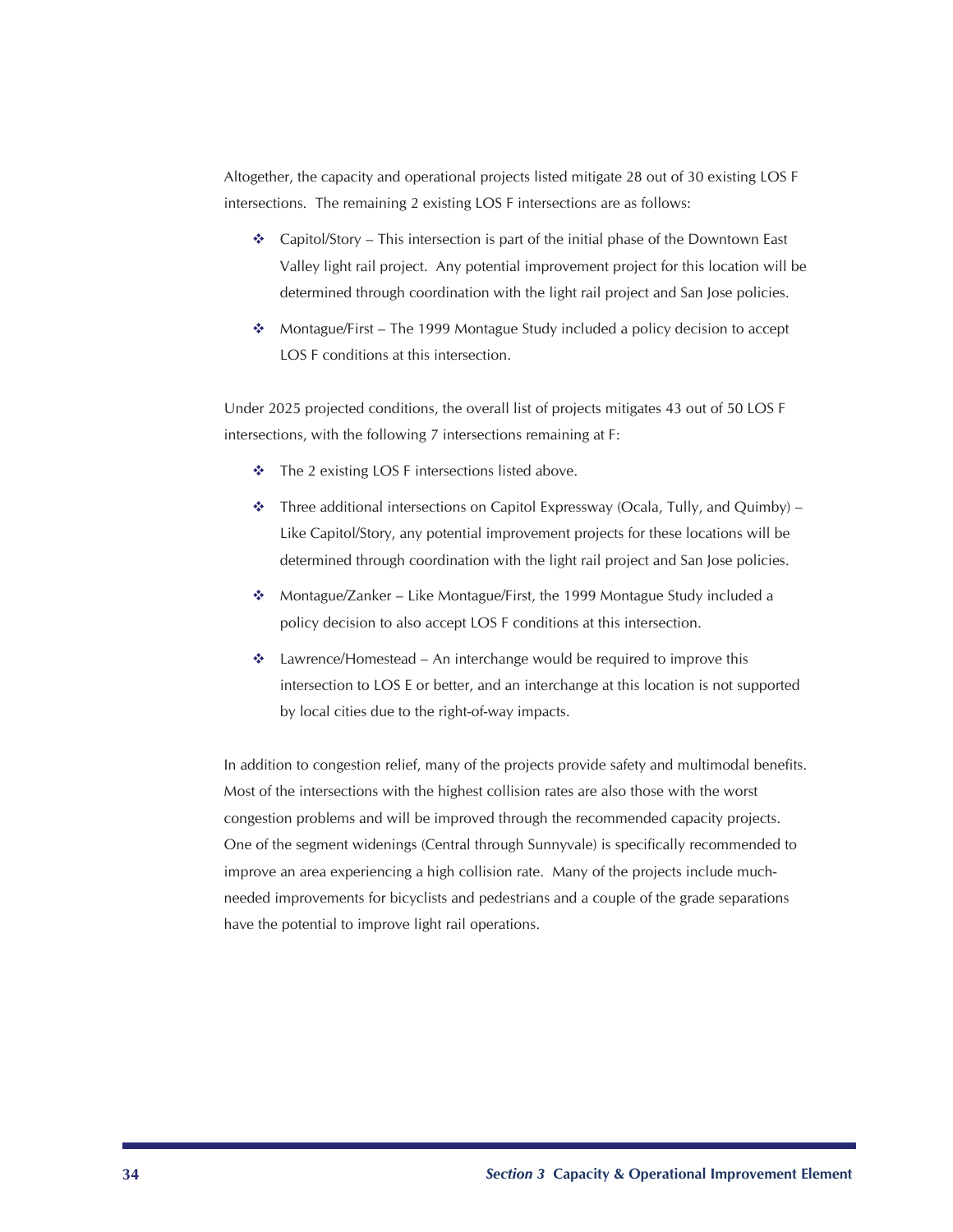Altogether, the capacity and operational projects listed mitigate 28 out of 30 existing LOS F intersections. The remaining 2 existing LOS F intersections are as follows:

- Capitol/Story This intersection is part of the initial phase of the Downtown East Valley light rail project. Any potential improvement project for this location will be determined through coordination with the light rail project and San Jose policies.
- Montague/First The 1999 Montague Study included a policy decision to accept LOS F conditions at this intersection.

Under 2025 projected conditions, the overall list of projects mitigates 43 out of 50 LOS F intersections, with the following 7 intersections remaining at F:

- ◆ The 2 existing LOS F intersections listed above.
- Three additional intersections on Capitol Expressway (Ocala, Tully, and Quimby) Like Capitol/Story, any potential improvement projects for these locations will be determined through coordination with the light rail project and San Jose policies.
- Montague/Zanker Like Montague/First, the 1999 Montague Study included a policy decision to also accept LOS F conditions at this intersection.
- $\triangleleft$  Lawrence/Homestead An interchange would be required to improve this intersection to LOS E or better, and an interchange at this location is not supported by local cities due to the right-of-way impacts.

In addition to congestion relief, many of the projects provide safety and multimodal benefits. Most of the intersections with the highest collision rates are also those with the worst congestion problems and will be improved through the recommended capacity projects. One of the segment widenings (Central through Sunnyvale) is specifically recommended to improve an area experiencing a high collision rate. Many of the projects include muchneeded improvements for bicyclists and pedestrians and a couple of the grade separations have the potential to improve light rail operations.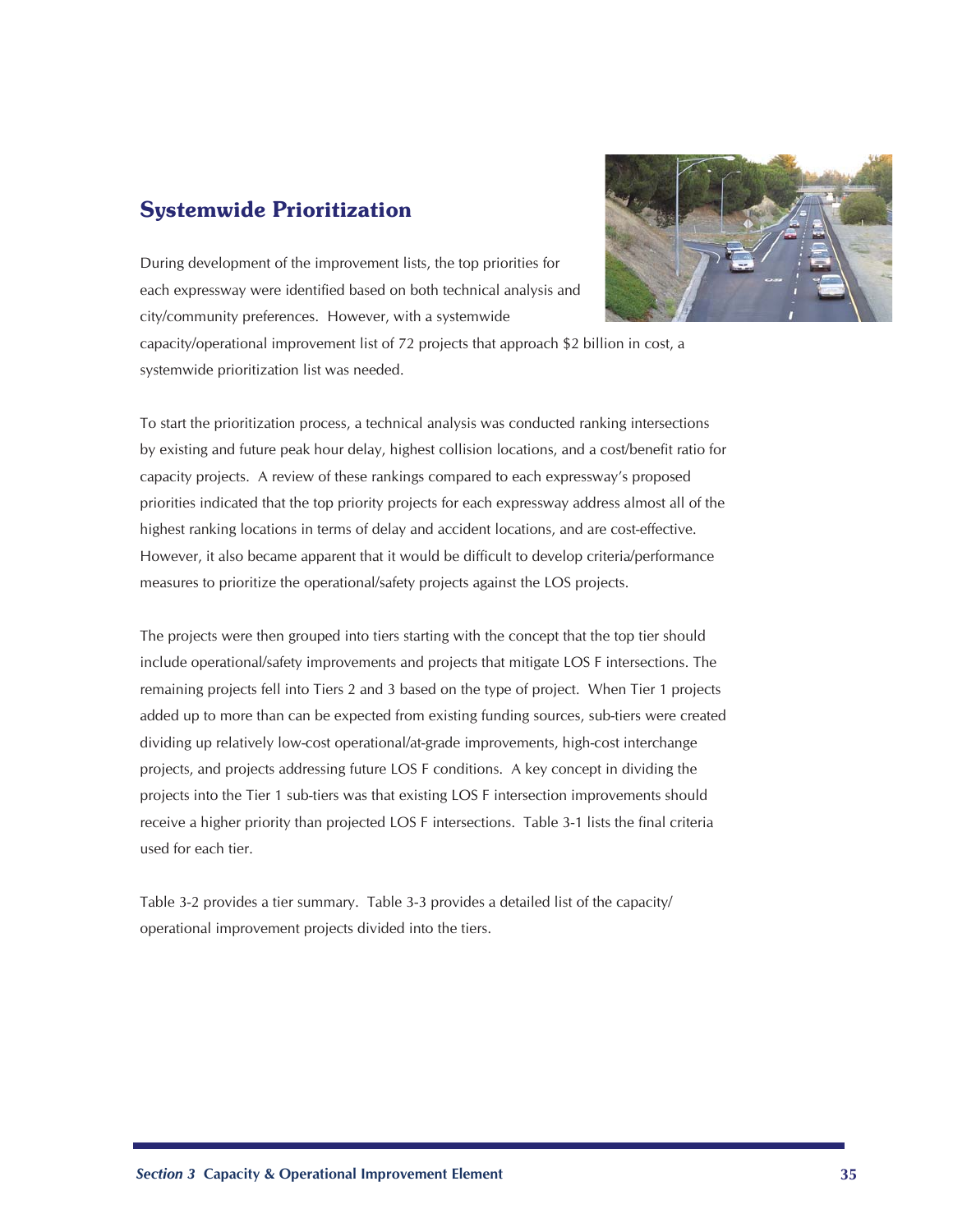#### Systemwide Prioritization

During development of the improvement lists, the top priorities for each expressway were identified based on both technical analysis and city/community preferences. However, with a systemwide



capacity/operational improvement list of 72 projects that approach \$2 billion in cost, a systemwide prioritization list was needed.

To start the prioritization process, a technical analysis was conducted ranking intersections by existing and future peak hour delay, highest collision locations, and a cost/benefit ratio for capacity projects. A review of these rankings compared to each expressway's proposed priorities indicated that the top priority projects for each expressway address almost all of the highest ranking locations in terms of delay and accident locations, and are cost-effective. However, it also became apparent that it would be difficult to develop criteria/performance measures to prioritize the operational/safety projects against the LOS projects.

The projects were then grouped into tiers starting with the concept that the top tier should include operational/safety improvements and projects that mitigate LOS F intersections. The remaining projects fell into Tiers 2 and 3 based on the type of project. When Tier 1 projects added up to more than can be expected from existing funding sources, sub-tiers were created dividing up relatively low-cost operational/at-grade improvements, high-cost interchange projects, and projects addressing future LOS F conditions. A key concept in dividing the projects into the Tier 1 sub-tiers was that existing LOS F intersection improvements should receive a higher priority than projected LOS F intersections. Table 3-1 lists the final criteria used for each tier.

Table 3-2 provides a tier summary. Table 3-3 provides a detailed list of the capacity/ operational improvement projects divided into the tiers.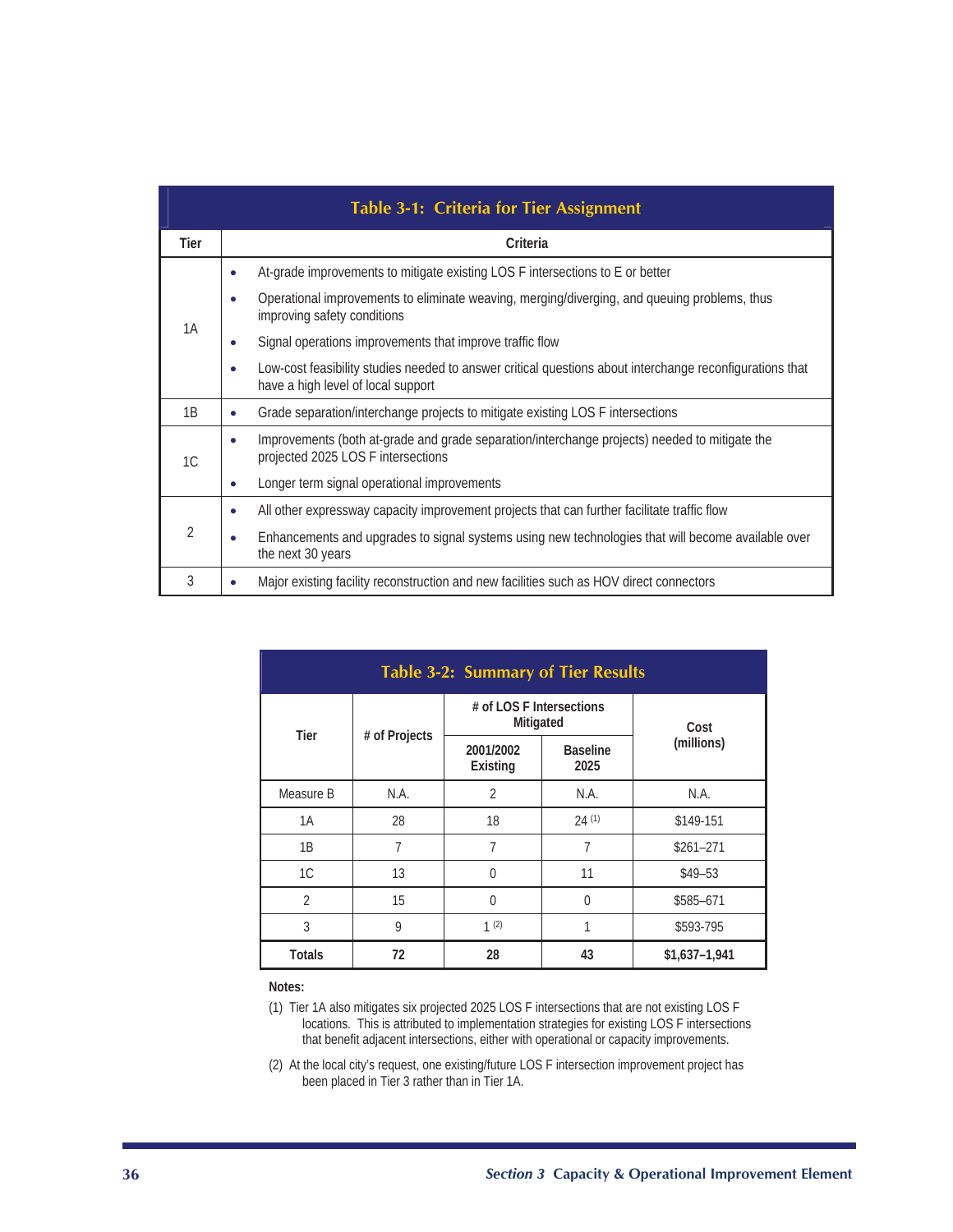| <b>Table 3-1: Criteria for Tier Assignment</b> |                                                                                                                                                             |  |  |
|------------------------------------------------|-------------------------------------------------------------------------------------------------------------------------------------------------------------|--|--|
| <b>Tier</b>                                    | Criteria                                                                                                                                                    |  |  |
|                                                | At-grade improvements to mitigate existing LOS F intersections to E or better<br>$\bullet$                                                                  |  |  |
|                                                | Operational improvements to eliminate weaving, merging/diverging, and queuing problems, thus<br>$\bullet$<br>improving safety conditions                    |  |  |
| 1A                                             | Signal operations improvements that improve traffic flow<br>$\bullet$                                                                                       |  |  |
|                                                | Low-cost feasibility studies needed to answer critical questions about interchange reconfigurations that<br>$\bullet$<br>have a high level of local support |  |  |
| 1B                                             | Grade separation/interchange projects to mitigate existing LOS F intersections<br>$\bullet$                                                                 |  |  |
| 1C                                             | Improvements (both at-grade and grade separation/interchange projects) needed to mitigate the<br>$\bullet$<br>projected 2025 LOS F intersections            |  |  |
|                                                | Longer term signal operational improvements<br>$\bullet$                                                                                                    |  |  |
|                                                | All other expressway capacity improvement projects that can further facilitate traffic flow<br>$\bullet$                                                    |  |  |
| $\overline{2}$                                 | Enhancements and upgrades to signal systems using new technologies that will become available over<br>$\bullet$<br>the next 30 years                        |  |  |
| 3                                              | Major existing facility reconstruction and new facilities such as HOV direct connectors<br>۰                                                                |  |  |

| <b>Table 3-2: Summary of Tier Results</b> |               |                                       |                         |                |
|-------------------------------------------|---------------|---------------------------------------|-------------------------|----------------|
| Tier                                      |               | # of LOS F Intersections<br>Mitigated |                         | Cost           |
|                                           | # of Projects | 2001/2002<br>Existing                 | <b>Baseline</b><br>2025 | (millions)     |
| Measure B                                 | N.A.          | $\overline{2}$                        | N.A.                    | N.A.           |
| 1A                                        | 28            | 18                                    | 24(1)                   | \$149-151      |
| 1B                                        | 7             | 7                                     | $\overline{7}$          | $$261 - 271$   |
| 1C                                        | 13            | $\Omega$                              | 11                      | $$49 - 53$     |
| $\mathfrak{D}$                            | 15            | $\Omega$                              | $\Omega$                | \$585-671      |
| 3                                         | 9             | 1(2)                                  | 1                       | \$593-795      |
| <b>Totals</b>                             | 72            | 28                                    | 43                      | $$1,637-1,941$ |

#### **Notes:**

- (1) Tier 1A also mitigates six projected 2025 LOS F intersections that are not existing LOS F locations. This is attributed to implementation strategies for existing LOS F intersections that benefit adjacent intersections, either with operational or capacity improvements.
- (2) At the local city's request, one existing/future LOS F intersection improvement project has been placed in Tier 3 rather than in Tier 1A.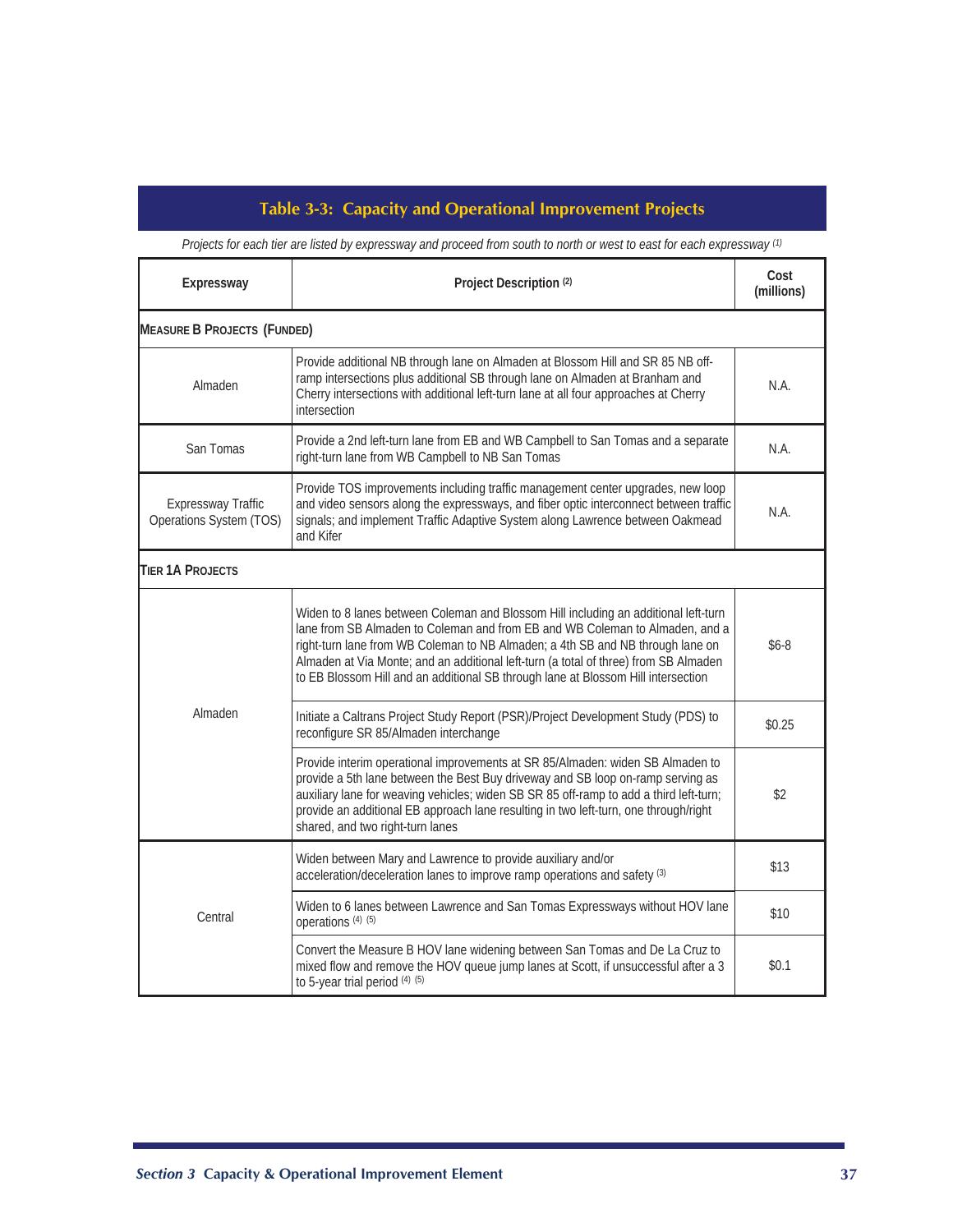| Expressway                                    | Project Description <sup>(2)</sup>                                                                                                                                                                                                                                                                                                                                                                                                 | Cost<br>(millions) |
|-----------------------------------------------|------------------------------------------------------------------------------------------------------------------------------------------------------------------------------------------------------------------------------------------------------------------------------------------------------------------------------------------------------------------------------------------------------------------------------------|--------------------|
| <b>MEASURE B PROJECTS (FUNDED)</b>            |                                                                                                                                                                                                                                                                                                                                                                                                                                    |                    |
| Almaden                                       | Provide additional NB through lane on Almaden at Blossom Hill and SR 85 NB off-<br>ramp intersections plus additional SB through lane on Almaden at Branham and<br>Cherry intersections with additional left-turn lane at all four approaches at Cherry<br>intersection                                                                                                                                                            | N.A.               |
| San Tomas                                     | Provide a 2nd left-turn lane from EB and WB Campbell to San Tomas and a separate<br>right-turn lane from WB Campbell to NB San Tomas                                                                                                                                                                                                                                                                                               | N.A.               |
| Expressway Traffic<br>Operations System (TOS) | Provide TOS improvements including traffic management center upgrades, new loop<br>and video sensors along the expressways, and fiber optic interconnect between traffic<br>signals; and implement Traffic Adaptive System along Lawrence between Oakmead<br>and Kifer                                                                                                                                                             | N.A.               |
| <b>TIER 1A PROJECTS</b>                       |                                                                                                                                                                                                                                                                                                                                                                                                                                    |                    |
|                                               | Widen to 8 lanes between Coleman and Blossom Hill including an additional left-turn<br>lane from SB Almaden to Coleman and from EB and WB Coleman to Almaden, and a<br>right-turn lane from WB Coleman to NB Almaden; a 4th SB and NB through lane on<br>Almaden at Via Monte; and an additional left-turn (a total of three) from SB Almaden<br>to EB Blossom Hill and an additional SB through lane at Blossom Hill intersection | $$6-8$             |
| Almaden                                       | Initiate a Caltrans Project Study Report (PSR)/Project Development Study (PDS) to<br>reconfigure SR 85/Almaden interchange                                                                                                                                                                                                                                                                                                         | \$0.25             |
|                                               | Provide interim operational improvements at SR 85/Almaden: widen SB Almaden to<br>provide a 5th lane between the Best Buy driveway and SB loop on-ramp serving as<br>auxiliary lane for weaving vehicles; widen SB SR 85 off-ramp to add a third left-turn;<br>provide an additional EB approach lane resulting in two left-turn, one through/right<br>shared, and two right-turn lanes                                            | \$2                |
|                                               | Widen between Mary and Lawrence to provide auxiliary and/or<br>acceleration/deceleration lanes to improve ramp operations and safety (3)                                                                                                                                                                                                                                                                                           | \$13               |
| Central                                       | Widen to 6 lanes between Lawrence and San Tomas Expressways without HOV lane<br>operations <sup>(4)(5)</sup>                                                                                                                                                                                                                                                                                                                       | \$10               |
|                                               | Convert the Measure B HOV lane widening between San Tomas and De La Cruz to<br>mixed flow and remove the HOV queue jump lanes at Scott, if unsuccessful after a 3<br>to 5-year trial period (4) (5)                                                                                                                                                                                                                                | \$0.1              |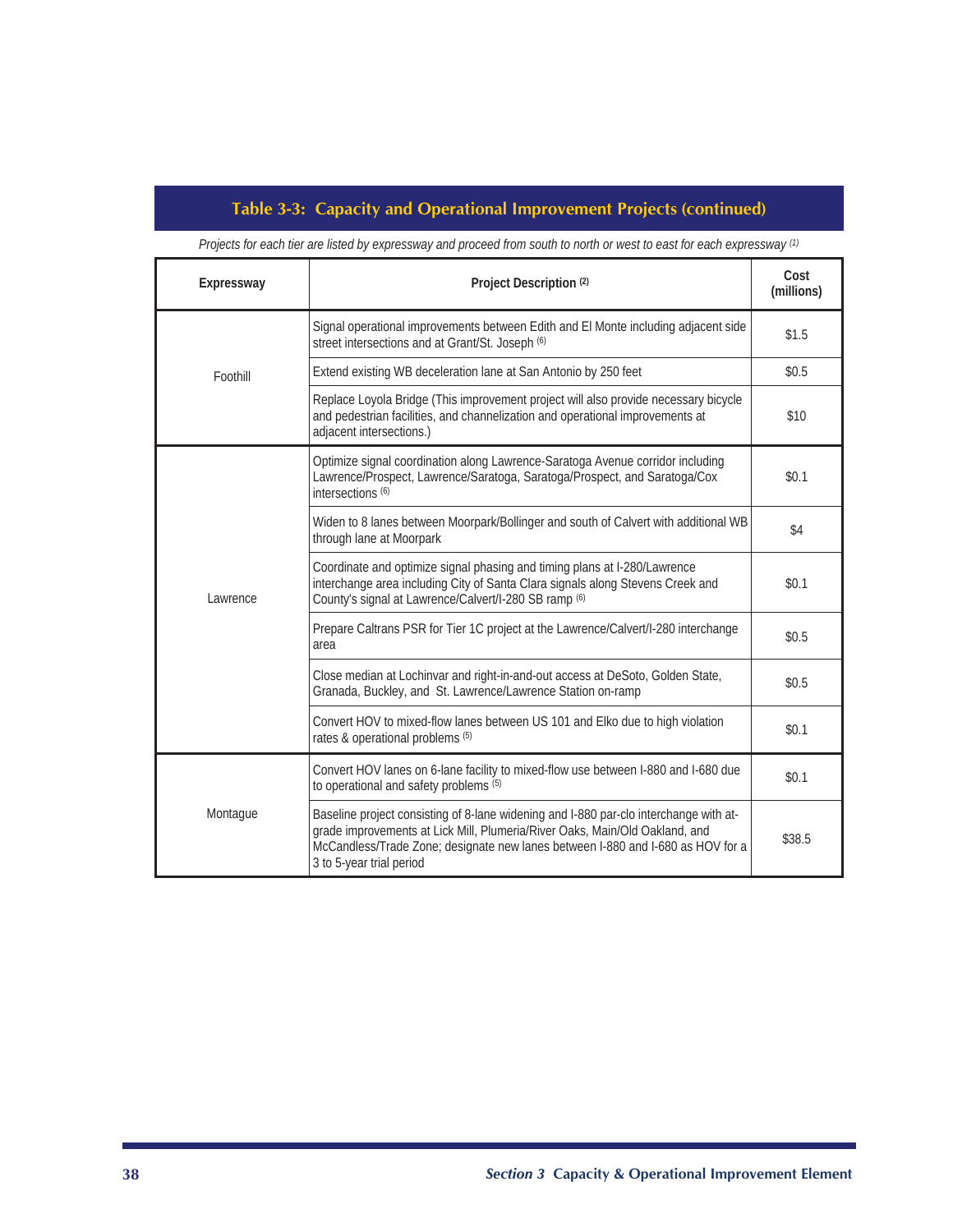| Expressway | Project Description <sup>(2)</sup>                                                                                                                                                                                                                                                  | Cost<br>(millions) |
|------------|-------------------------------------------------------------------------------------------------------------------------------------------------------------------------------------------------------------------------------------------------------------------------------------|--------------------|
|            | Signal operational improvements between Edith and El Monte including adjacent side<br>street intersections and at Grant/St. Joseph (6)                                                                                                                                              | \$1.5              |
| Foothill   | Extend existing WB deceleration lane at San Antonio by 250 feet                                                                                                                                                                                                                     | \$0.5              |
|            | Replace Loyola Bridge (This improvement project will also provide necessary bicycle<br>and pedestrian facilities, and channelization and operational improvements at<br>adjacent intersections.)                                                                                    | \$10               |
|            | Optimize signal coordination along Lawrence-Saratoga Avenue corridor including<br>Lawrence/Prospect, Lawrence/Saratoga, Saratoga/Prospect, and Saratoga/Cox<br>intersections (6)                                                                                                    | \$0.1              |
|            | Widen to 8 lanes between Moorpark/Bollinger and south of Calvert with additional WB<br>through lane at Moorpark                                                                                                                                                                     | \$4                |
| Lawrence   | Coordinate and optimize signal phasing and timing plans at I-280/Lawrence<br>interchange area including City of Santa Clara signals along Stevens Creek and<br>County's signal at Lawrence/Calvert/I-280 SB ramp (6)                                                                | \$0.1              |
|            | Prepare Caltrans PSR for Tier 1C project at the Lawrence/Calvert/I-280 interchange<br>area                                                                                                                                                                                          | \$0.5              |
|            | Close median at Lochinvar and right-in-and-out access at DeSoto, Golden State,<br>Granada, Buckley, and St. Lawrence/Lawrence Station on-ramp                                                                                                                                       | \$0.5              |
|            | Convert HOV to mixed-flow lanes between US 101 and Elko due to high violation<br>rates & operational problems (5)                                                                                                                                                                   | \$0.1              |
|            | Convert HOV lanes on 6-lane facility to mixed-flow use between I-880 and I-680 due<br>to operational and safety problems (5)                                                                                                                                                        | \$0.1              |
| Montague   | Baseline project consisting of 8-lane widening and I-880 par-clo interchange with at-<br>grade improvements at Lick Mill, Plumeria/River Oaks, Main/Old Oakland, and<br>McCandless/Trade Zone; designate new lanes between I-880 and I-680 as HOV for a<br>3 to 5-year trial period | \$38.5             |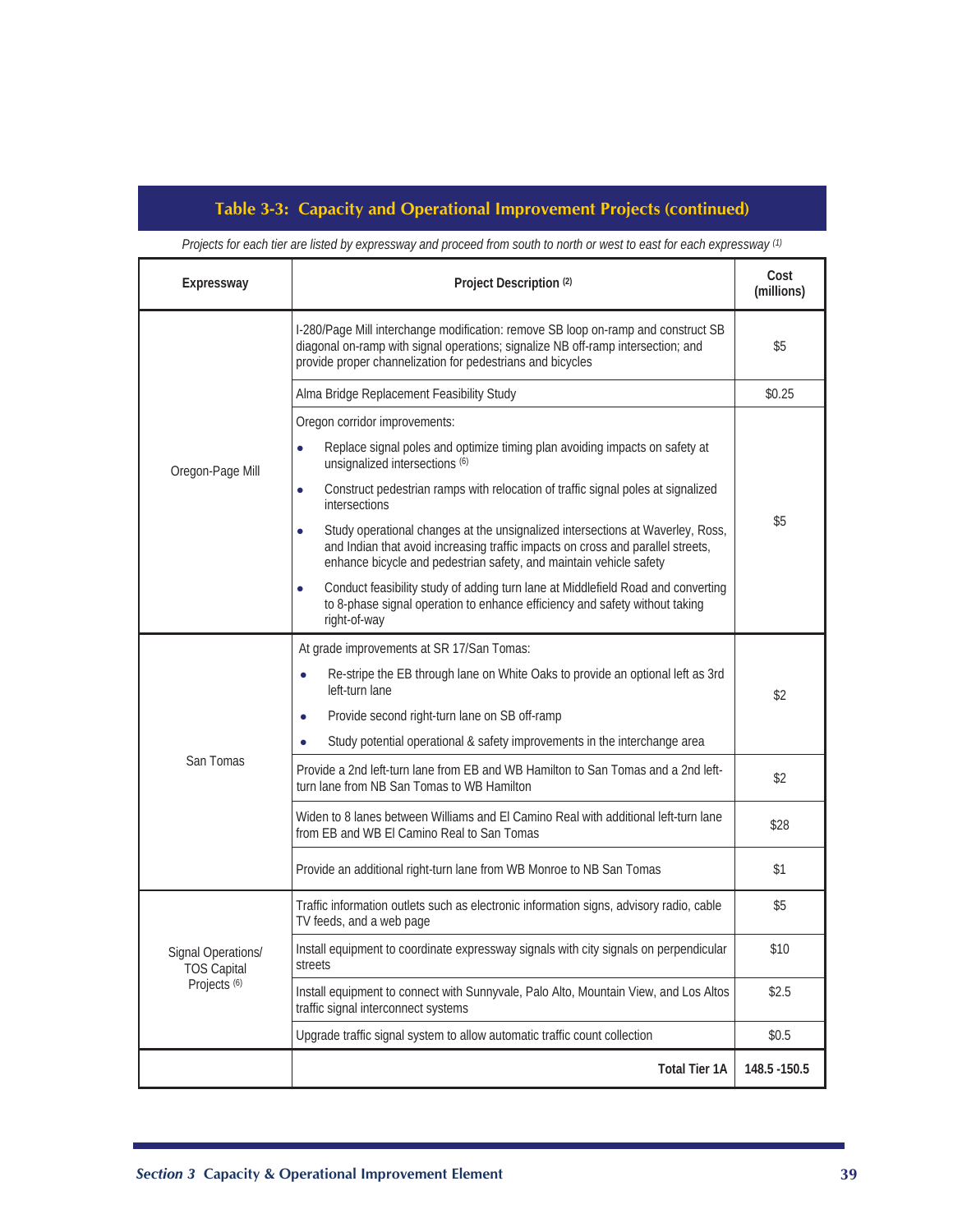| Expressway                               | Project Description <sup>(2)</sup>                                                                                                                                                                                                                   | Cost<br>(millions) |
|------------------------------------------|------------------------------------------------------------------------------------------------------------------------------------------------------------------------------------------------------------------------------------------------------|--------------------|
|                                          | I-280/Page Mill interchange modification: remove SB loop on-ramp and construct SB<br>diagonal on-ramp with signal operations; signalize NB off-ramp intersection; and<br>provide proper channelization for pedestrians and bicycles                  | \$5                |
|                                          | Alma Bridge Replacement Feasibility Study                                                                                                                                                                                                            | \$0.25             |
|                                          | Oregon corridor improvements:                                                                                                                                                                                                                        |                    |
| Oregon-Page Mill                         | Replace signal poles and optimize timing plan avoiding impacts on safety at<br>$\bullet$<br>unsignalized intersections (6)                                                                                                                           | \$5                |
|                                          | Construct pedestrian ramps with relocation of traffic signal poles at signalized<br>$\bullet$<br>intersections                                                                                                                                       |                    |
|                                          | Study operational changes at the unsignalized intersections at Waverley, Ross,<br>$\bullet$<br>and Indian that avoid increasing traffic impacts on cross and parallel streets,<br>enhance bicycle and pedestrian safety, and maintain vehicle safety |                    |
|                                          | Conduct feasibility study of adding turn lane at Middlefield Road and converting<br>$\bullet$<br>to 8-phase signal operation to enhance efficiency and safety without taking<br>right-of-way                                                         |                    |
|                                          | At grade improvements at SR 17/San Tomas:                                                                                                                                                                                                            |                    |
|                                          | Re-stripe the EB through lane on White Oaks to provide an optional left as 3rd<br>$\bullet$<br>left-turn lane                                                                                                                                        | \$2                |
|                                          | Provide second right-turn lane on SB off-ramp<br>$\bullet$                                                                                                                                                                                           |                    |
|                                          | Study potential operational & safety improvements in the interchange area<br>$\bullet$                                                                                                                                                               |                    |
| San Tomas                                | Provide a 2nd left-turn lane from EB and WB Hamilton to San Tomas and a 2nd left-<br>turn lane from NB San Tomas to WB Hamilton                                                                                                                      | \$2                |
|                                          | Widen to 8 lanes between Williams and El Camino Real with additional left-turn lane<br>from EB and WB EI Camino Real to San Tomas                                                                                                                    | \$28               |
|                                          | Provide an additional right-turn lane from WB Monroe to NB San Tomas                                                                                                                                                                                 | \$1                |
|                                          | Traffic information outlets such as electronic information signs, advisory radio, cable<br>TV feeds, and a web page                                                                                                                                  | \$5                |
| Signal Operations/<br><b>TOS Capital</b> | Install equipment to coordinate expressway signals with city signals on perpendicular<br>streets                                                                                                                                                     | \$10               |
| Projects <sup>(6)</sup>                  | Install equipment to connect with Sunnyvale, Palo Alto, Mountain View, and Los Altos<br>traffic signal interconnect systems                                                                                                                          | \$2.5              |
|                                          | Upgrade traffic signal system to allow automatic traffic count collection                                                                                                                                                                            | \$0.5              |
|                                          | <b>Total Tier 1A</b>                                                                                                                                                                                                                                 | 148.5 - 150.5      |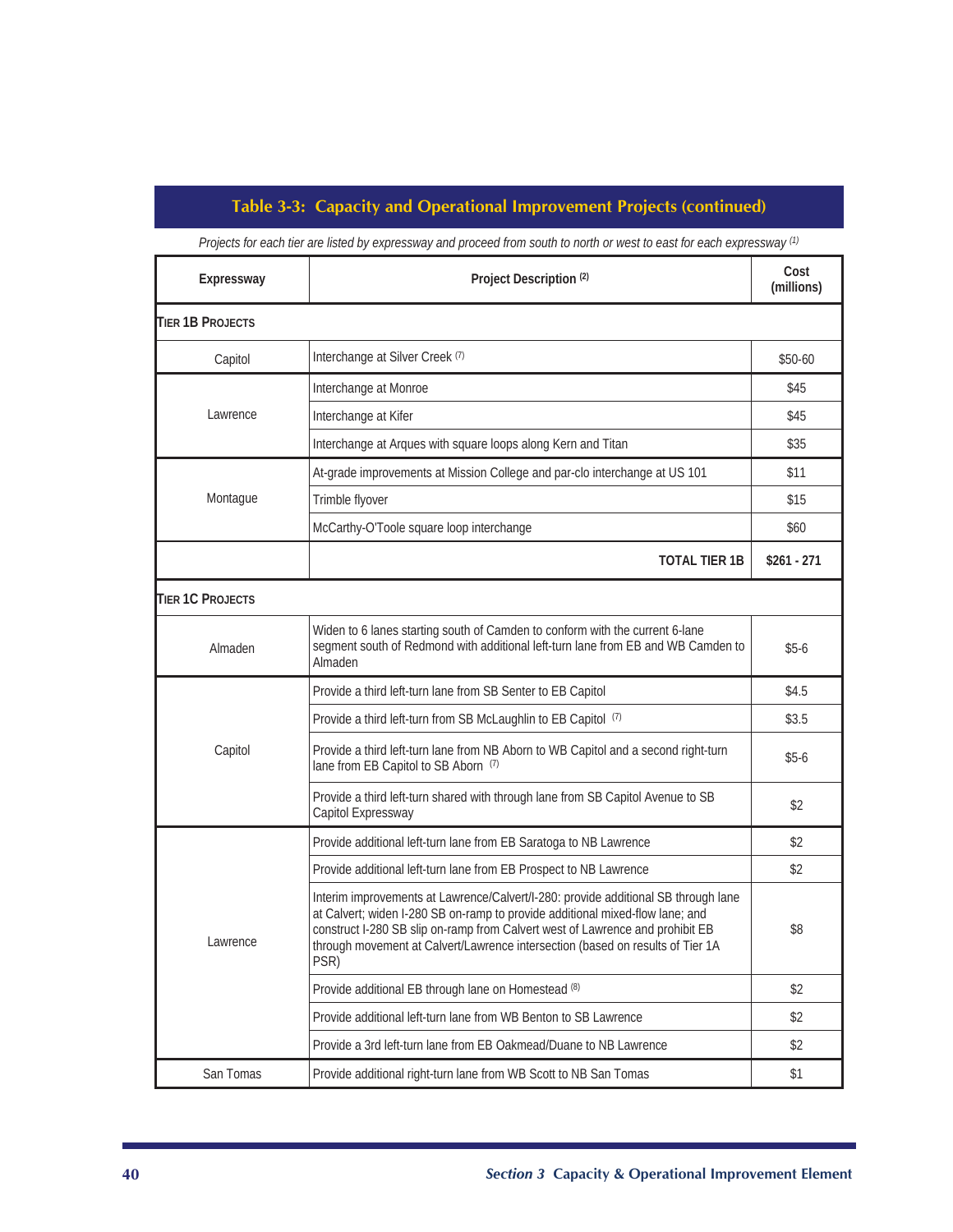| Expressway              | Project Description <sup>(2)</sup>                                                                                                                                                                                                                                                                                                             | Cost<br>(millions) |
|-------------------------|------------------------------------------------------------------------------------------------------------------------------------------------------------------------------------------------------------------------------------------------------------------------------------------------------------------------------------------------|--------------------|
| <b>TIER 1B PROJECTS</b> |                                                                                                                                                                                                                                                                                                                                                |                    |
| Capitol                 | Interchange at Silver Creek (7)                                                                                                                                                                                                                                                                                                                | \$50-60            |
|                         | Interchange at Monroe                                                                                                                                                                                                                                                                                                                          | \$45               |
| Lawrence                | Interchange at Kifer                                                                                                                                                                                                                                                                                                                           | \$45               |
|                         | Interchange at Arques with square loops along Kern and Titan                                                                                                                                                                                                                                                                                   | \$35               |
|                         | At-grade improvements at Mission College and par-clo interchange at US 101                                                                                                                                                                                                                                                                     | \$11               |
| Montague                | Trimble flyover                                                                                                                                                                                                                                                                                                                                | \$15               |
|                         | McCarthy-O'Toole square loop interchange                                                                                                                                                                                                                                                                                                       | \$60               |
|                         | <b>TOTAL TIER 1B</b>                                                                                                                                                                                                                                                                                                                           | $$261 - 271$       |
| <b>TIER 1C PROJECTS</b> |                                                                                                                                                                                                                                                                                                                                                |                    |
| Almaden                 | Widen to 6 lanes starting south of Camden to conform with the current 6-lane<br>segment south of Redmond with additional left-turn lane from EB and WB Camden to<br>Almaden                                                                                                                                                                    | $$5-6$             |
|                         | Provide a third left-turn lane from SB Senter to EB Capitol                                                                                                                                                                                                                                                                                    | \$4.5              |
|                         | Provide a third left-turn from SB McLaughlin to EB Capitol (7)                                                                                                                                                                                                                                                                                 | \$3.5              |
| Capitol                 | Provide a third left-turn lane from NB Aborn to WB Capitol and a second right-turn<br>lane from EB Capitol to SB Aborn (7)                                                                                                                                                                                                                     | $$5-6$             |
|                         | Provide a third left-turn shared with through lane from SB Capitol Avenue to SB<br>Capitol Expressway                                                                                                                                                                                                                                          | \$2                |
|                         | Provide additional left-turn lane from EB Saratoga to NB Lawrence                                                                                                                                                                                                                                                                              | \$2                |
|                         | Provide additional left-turn lane from EB Prospect to NB Lawrence                                                                                                                                                                                                                                                                              | \$2                |
| Lawrence                | Interim improvements at Lawrence/Calvert/I-280: provide additional SB through lane<br>at Calvert; widen I-280 SB on-ramp to provide additional mixed-flow lane; and<br>construct I-280 SB slip on-ramp from Calvert west of Lawrence and prohibit EB<br>through movement at Calvert/Lawrence intersection (based on results of Tier 1A<br>PSR) | \$8                |
|                         | Provide additional EB through lane on Homestead (8)                                                                                                                                                                                                                                                                                            | \$2                |
|                         | Provide additional left-turn lane from WB Benton to SB Lawrence                                                                                                                                                                                                                                                                                | \$2                |
|                         | Provide a 3rd left-turn lane from EB Oakmead/Duane to NB Lawrence                                                                                                                                                                                                                                                                              | \$2                |
| San Tomas               | Provide additional right-turn lane from WB Scott to NB San Tomas                                                                                                                                                                                                                                                                               | \$1                |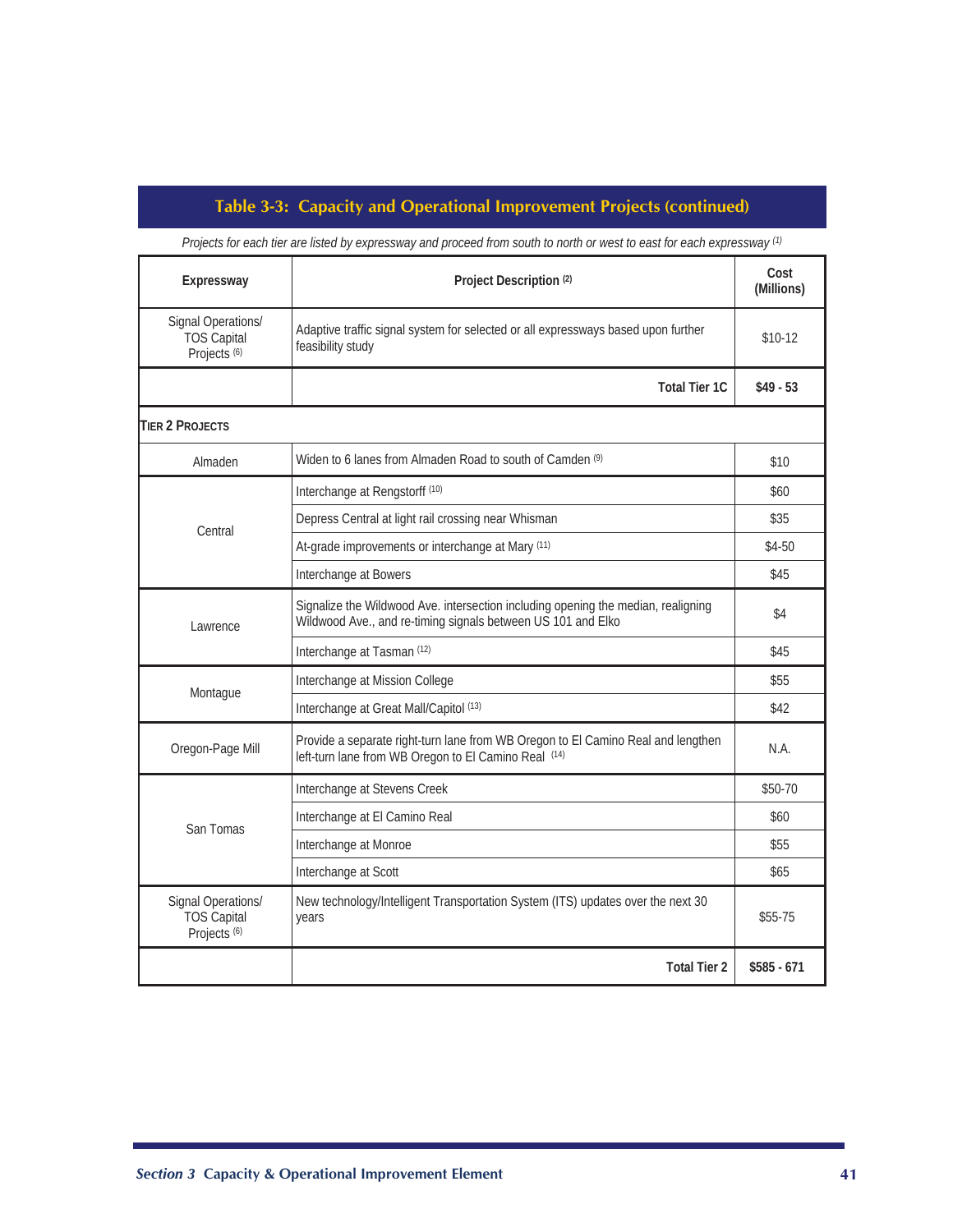| Expressway                                                          | Project Description <sup>(2)</sup>                                                                                                                | Cost<br>(Millions) |
|---------------------------------------------------------------------|---------------------------------------------------------------------------------------------------------------------------------------------------|--------------------|
| Signal Operations/<br><b>TOS Capital</b><br>Projects <sup>(6)</sup> | Adaptive traffic signal system for selected or all expressways based upon further<br>feasibility study                                            | $$10-12$           |
|                                                                     | <b>Total Tier 1C</b>                                                                                                                              | $$49 - 53$         |
| <b>TIER 2 PROJECTS</b>                                              |                                                                                                                                                   |                    |
| Almaden                                                             | Widen to 6 lanes from Almaden Road to south of Camden (9)                                                                                         | \$10               |
|                                                                     | Interchange at Rengstorff (10)                                                                                                                    | \$60               |
| Central                                                             | Depress Central at light rail crossing near Whisman                                                                                               | \$35               |
|                                                                     | At-grade improvements or interchange at Mary (11)                                                                                                 | $$4-50$            |
|                                                                     | Interchange at Bowers                                                                                                                             | \$45               |
| Lawrence                                                            | Signalize the Wildwood Ave. intersection including opening the median, realigning<br>Wildwood Ave., and re-timing signals between US 101 and Elko | \$4                |
|                                                                     | Interchange at Tasman (12)                                                                                                                        | \$45               |
| Montague                                                            | Interchange at Mission College                                                                                                                    | \$55               |
|                                                                     | Interchange at Great Mall/Capitol (13)                                                                                                            | \$42               |
| Oregon-Page Mill                                                    | Provide a separate right-turn lane from WB Oregon to El Camino Real and lengthen<br>left-turn lane from WB Oregon to El Camino Real (14)          | N.A.               |
|                                                                     | Interchange at Stevens Creek                                                                                                                      | \$50-70            |
| San Tomas                                                           | Interchange at El Camino Real                                                                                                                     | \$60               |
|                                                                     | Interchange at Monroe                                                                                                                             | \$55               |
|                                                                     | Interchange at Scott                                                                                                                              | \$65               |
| Signal Operations/<br><b>TOS Capital</b><br>Projects <sup>(6)</sup> | New technology/Intelligent Transportation System (ITS) updates over the next 30<br>years                                                          | \$55-75            |
|                                                                     | <b>Total Tier 2</b>                                                                                                                               | $$585 - 671$       |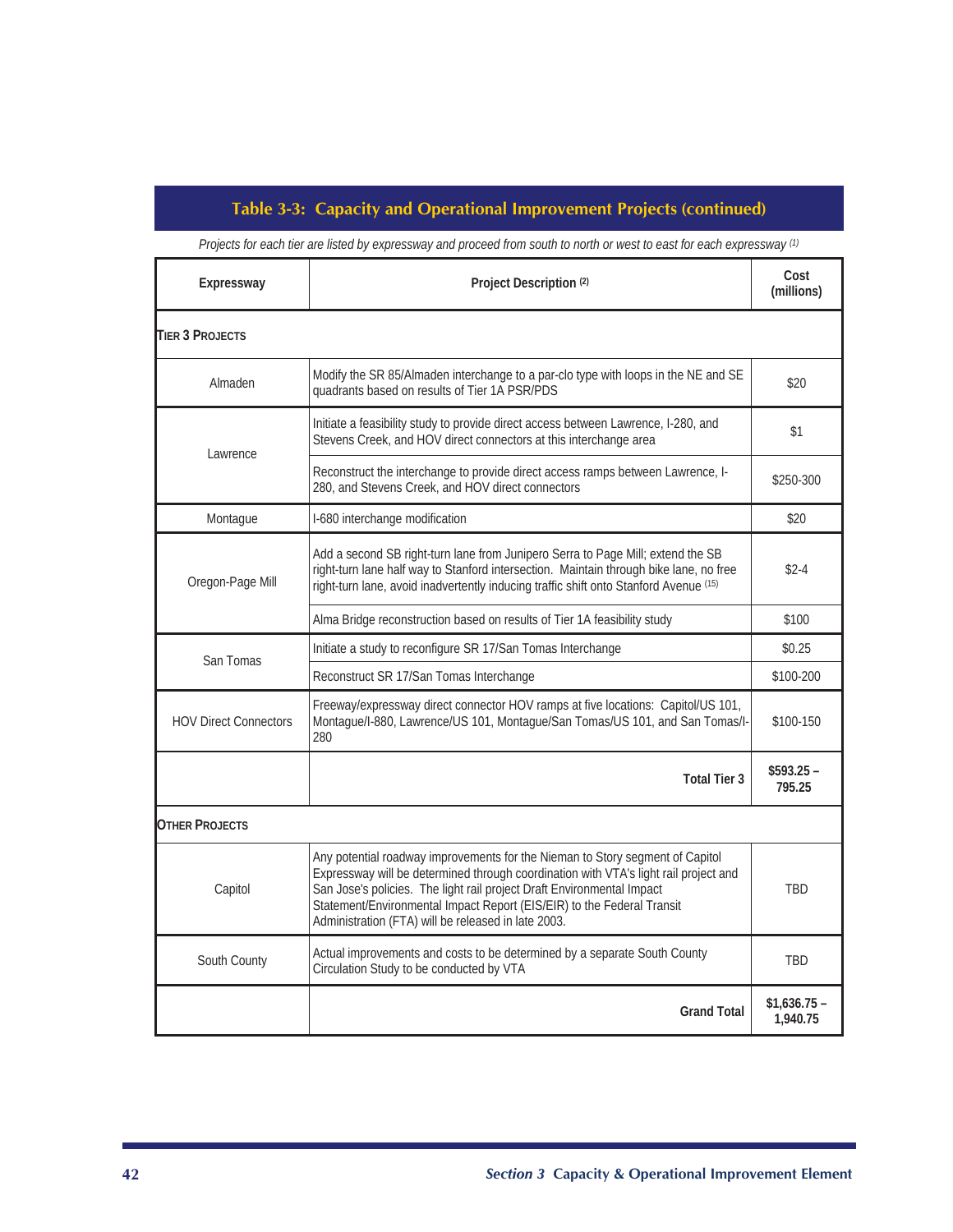| Expressway                   | Project Description <sup>(2)</sup>                                                                                                                                                                                                                                                                                                                                               | Cost<br>(millions)       |  |
|------------------------------|----------------------------------------------------------------------------------------------------------------------------------------------------------------------------------------------------------------------------------------------------------------------------------------------------------------------------------------------------------------------------------|--------------------------|--|
| <b>TIER 3 PROJECTS</b>       |                                                                                                                                                                                                                                                                                                                                                                                  |                          |  |
| Almaden                      | Modify the SR 85/Almaden interchange to a par-clo type with loops in the NE and SE<br>quadrants based on results of Tier 1A PSR/PDS                                                                                                                                                                                                                                              | \$20                     |  |
|                              | Initiate a feasibility study to provide direct access between Lawrence, I-280, and<br>Stevens Creek, and HOV direct connectors at this interchange area                                                                                                                                                                                                                          | \$1                      |  |
| Lawrence                     | Reconstruct the interchange to provide direct access ramps between Lawrence, I-<br>280, and Stevens Creek, and HOV direct connectors                                                                                                                                                                                                                                             | \$250-300                |  |
| Montague                     | I-680 interchange modification                                                                                                                                                                                                                                                                                                                                                   | \$20                     |  |
| Oregon-Page Mill             | Add a second SB right-turn lane from Junipero Serra to Page Mill; extend the SB<br>right-turn lane half way to Stanford intersection. Maintain through bike lane, no free<br>right-turn lane, avoid inadvertently inducing traffic shift onto Stanford Avenue (15)                                                                                                               | $$2-4$                   |  |
|                              | Alma Bridge reconstruction based on results of Tier 1A feasibility study                                                                                                                                                                                                                                                                                                         | \$100                    |  |
| San Tomas                    | Initiate a study to reconfigure SR 17/San Tomas Interchange                                                                                                                                                                                                                                                                                                                      | \$0.25                   |  |
|                              | Reconstruct SR 17/San Tomas Interchange                                                                                                                                                                                                                                                                                                                                          | \$100-200                |  |
| <b>HOV Direct Connectors</b> | Freeway/expressway direct connector HOV ramps at five locations: Capitol/US 101,<br>Montague/I-880, Lawrence/US 101, Montague/San Tomas/US 101, and San Tomas/I-<br>280                                                                                                                                                                                                          | \$100-150                |  |
|                              | <b>Total Tier 3</b>                                                                                                                                                                                                                                                                                                                                                              | $$593.25 -$<br>795.25    |  |
| <b>OTHER PROJECTS</b>        |                                                                                                                                                                                                                                                                                                                                                                                  |                          |  |
| Capitol                      | Any potential roadway improvements for the Nieman to Story segment of Capitol<br>Expressway will be determined through coordination with VTA's light rail project and<br>San Jose's policies. The light rail project Draft Environmental Impact<br>Statement/Environmental Impact Report (EIS/EIR) to the Federal Transit<br>Administration (FTA) will be released in late 2003. | <b>TBD</b>               |  |
| South County                 | Actual improvements and costs to be determined by a separate South County<br>Circulation Study to be conducted by VTA                                                                                                                                                                                                                                                            | <b>TBD</b>               |  |
| <b>Grand Total</b>           |                                                                                                                                                                                                                                                                                                                                                                                  | $$1,636.75-$<br>1,940.75 |  |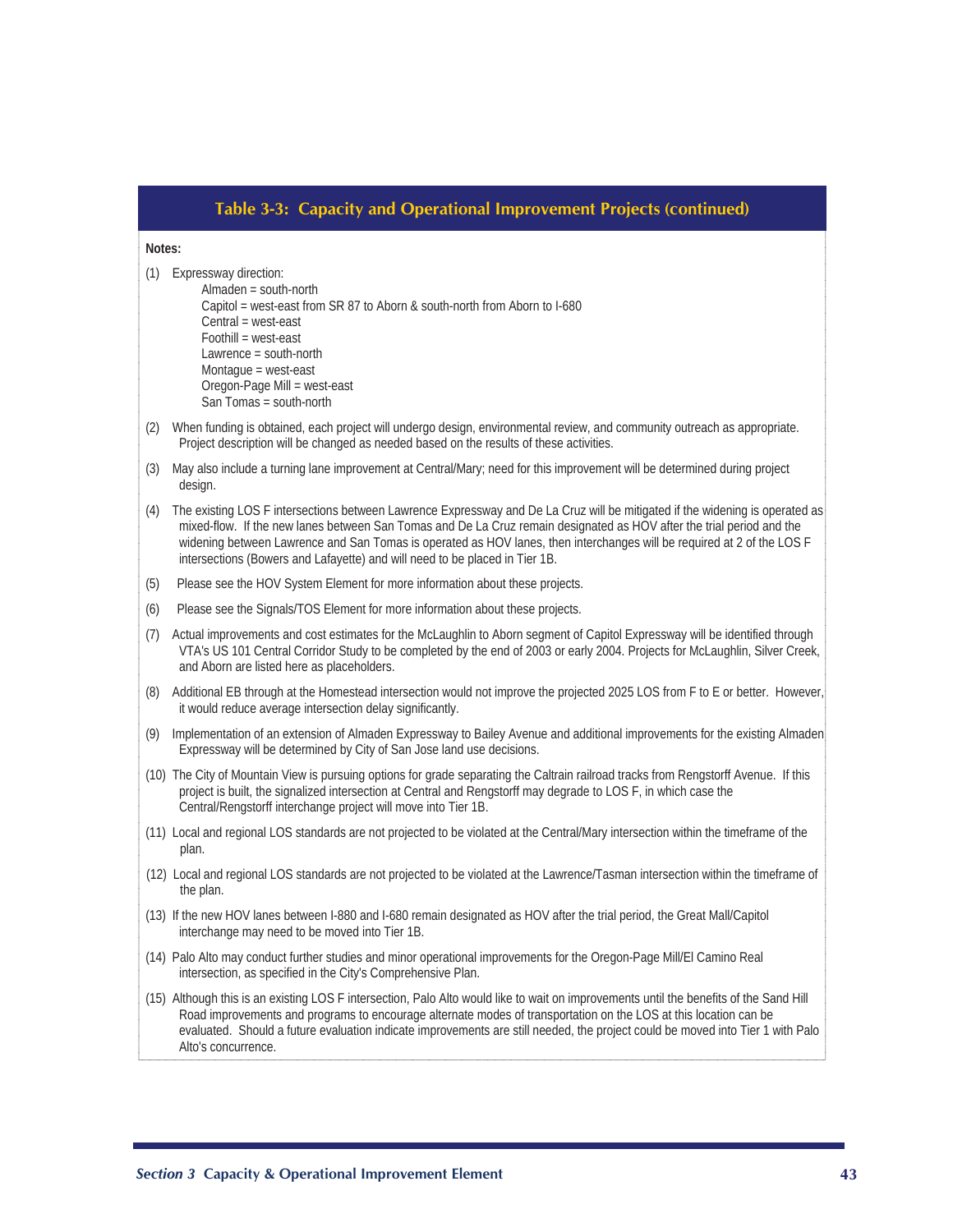|        | Table 3-3: Capacity and Operational Improvement Projects (continued)                                                                                                                                                                                                                                                                                                                                                                                           |
|--------|----------------------------------------------------------------------------------------------------------------------------------------------------------------------------------------------------------------------------------------------------------------------------------------------------------------------------------------------------------------------------------------------------------------------------------------------------------------|
| Notes: |                                                                                                                                                                                                                                                                                                                                                                                                                                                                |
| (1)    | Expressway direction:<br>Almaden = south-north<br>Capitol = west-east from SR 87 to Aborn & south-north from Aborn to I-680<br>Central = west-east<br>Foothill = west-east<br>Lawrence = south-north<br>Montague = west-east<br>Oregon-Page Mill = west-east<br>San Tomas = south-north                                                                                                                                                                        |
| (2)    | When funding is obtained, each project will undergo design, environmental review, and community outreach as appropriate.<br>Project description will be changed as needed based on the results of these activities.                                                                                                                                                                                                                                            |
| (3)    | May also include a turning lane improvement at Central/Mary; need for this improvement will be determined during project<br>design.                                                                                                                                                                                                                                                                                                                            |
| (4)    | The existing LOS F intersections between Lawrence Expressway and De La Cruz will be mitigated if the widening is operated as<br>mixed-flow. If the new lanes between San Tomas and De La Cruz remain designated as HOV after the trial period and the<br>widening between Lawrence and San Tomas is operated as HOV lanes, then interchanges will be required at 2 of the LOS F<br>intersections (Bowers and Lafayette) and will need to be placed in Tier 1B. |
| (5)    | Please see the HOV System Element for more information about these projects.                                                                                                                                                                                                                                                                                                                                                                                   |
| (6)    | Please see the Signals/TOS Element for more information about these projects.                                                                                                                                                                                                                                                                                                                                                                                  |
| (7)    | Actual improvements and cost estimates for the McLaughlin to Aborn segment of Capitol Expressway will be identified through<br>VTA's US 101 Central Corridor Study to be completed by the end of 2003 or early 2004. Projects for McLaughlin, Silver Creek,<br>and Aborn are listed here as placeholders.                                                                                                                                                      |
| (8)    | Additional EB through at the Homestead intersection would not improve the projected 2025 LOS from F to E or better. However,<br>it would reduce average intersection delay significantly.                                                                                                                                                                                                                                                                      |
| (9)    | Implementation of an extension of Almaden Expressway to Bailey Avenue and additional improvements for the existing Almaden<br>Expressway will be determined by City of San Jose land use decisions.                                                                                                                                                                                                                                                            |
|        | (10) The City of Mountain View is pursuing options for grade separating the Caltrain railroad tracks from Rengstorff Avenue. If this<br>project is built, the signalized intersection at Central and Rengstorff may degrade to LOS F, in which case the<br>Central/Rengstorff interchange project will move into Tier 1B.                                                                                                                                      |
|        | (11) Local and regional LOS standards are not projected to be violated at the Central/Mary intersection within the timeframe of the<br>plan.                                                                                                                                                                                                                                                                                                                   |
|        | (12) Local and regional LOS standards are not projected to be violated at the Lawrence/Tasman intersection within the timeframe of<br>the plan.                                                                                                                                                                                                                                                                                                                |
|        | (13) If the new HOV lanes between I-880 and I-680 remain designated as HOV after the trial period, the Great Mall/Capitol<br>interchange may need to be moved into Tier 1B.                                                                                                                                                                                                                                                                                    |
|        | (14) Palo Alto may conduct further studies and minor operational improvements for the Oregon-Page Mill/El Camino Real<br>intersection, as specified in the City's Comprehensive Plan.                                                                                                                                                                                                                                                                          |
|        | (15) Although this is an existing LOS F intersection, Palo Alto would like to wait on improvements until the benefits of the Sand Hill<br>Road improvements and programs to encourage alternate modes of transportation on the LOS at this location can be<br>evaluated. Should a future evaluation indicate improvements are still needed, the project could be moved into Tier 1 with Palo<br>Alto's concurrence.                                            |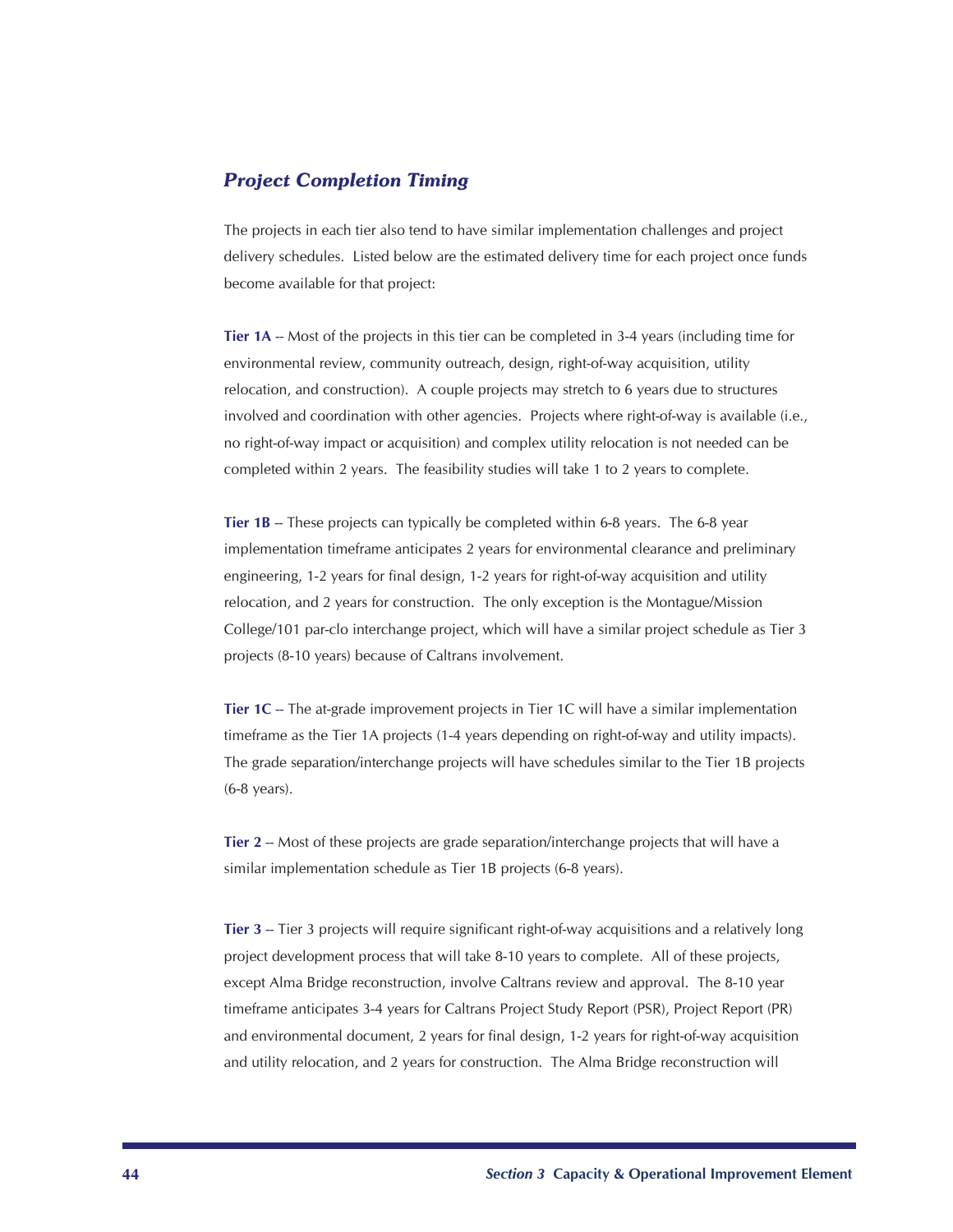#### *Project Completion Timing*

The projects in each tier also tend to have similar implementation challenges and project delivery schedules. Listed below are the estimated delivery time for each project once funds become available for that project:

**Tier 1A** –- Most of the projects in this tier can be completed in 3-4 years (including time for environmental review, community outreach, design, right-of-way acquisition, utility relocation, and construction). A couple projects may stretch to 6 years due to structures involved and coordination with other agencies. Projects where right-of-way is available (i.e., no right-of-way impact or acquisition) and complex utility relocation is not needed can be completed within 2 years. The feasibility studies will take 1 to 2 years to complete.

**Tier 1B** -- These projects can typically be completed within 6-8 years. The 6-8 year implementation timeframe anticipates 2 years for environmental clearance and preliminary engineering, 1-2 years for final design, 1-2 years for right-of-way acquisition and utility relocation, and 2 years for construction. The only exception is the Montague/Mission College/101 par-clo interchange project, which will have a similar project schedule as Tier 3 projects (8-10 years) because of Caltrans involvement.

**Tier 1C** -- The at-grade improvement projects in Tier 1C will have a similar implementation timeframe as the Tier 1A projects (1-4 years depending on right-of-way and utility impacts). The grade separation/interchange projects will have schedules similar to the Tier 1B projects (6-8 years).

**Tier 2** -- Most of these projects are grade separation/interchange projects that will have a similar implementation schedule as Tier 1B projects (6-8 years).

**Tier 3** -- Tier 3 projects will require significant right-of-way acquisitions and a relatively long project development process that will take 8-10 years to complete. All of these projects, except Alma Bridge reconstruction, involve Caltrans review and approval. The 8-10 year timeframe anticipates 3-4 years for Caltrans Project Study Report (PSR), Project Report (PR) and environmental document, 2 years for final design, 1-2 years for right-of-way acquisition and utility relocation, and 2 years for construction. The Alma Bridge reconstruction will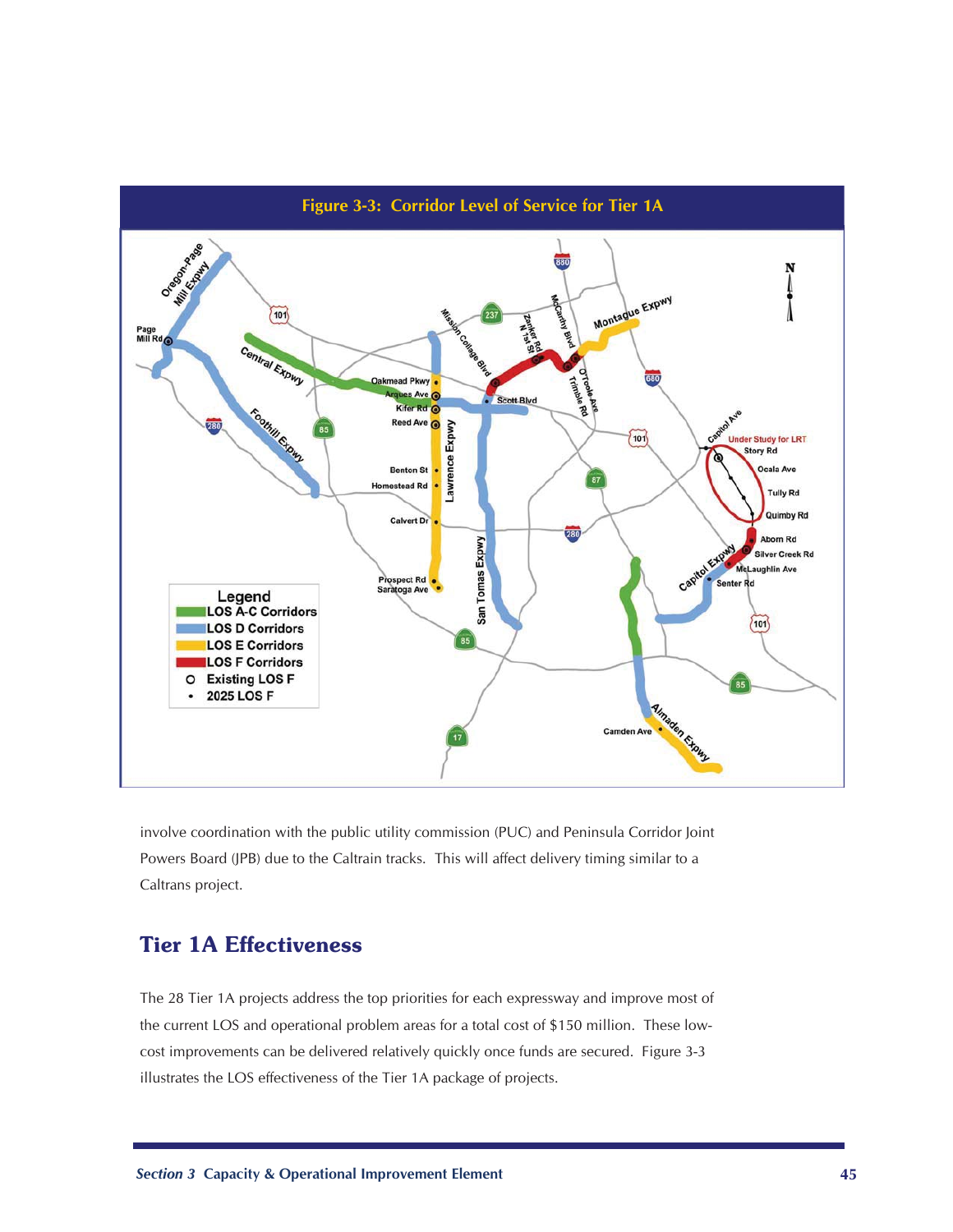

involve coordination with the public utility commission (PUC) and Peninsula Corridor Joint Powers Board (JPB) due to the Caltrain tracks. This will affect delivery timing similar to a Caltrans project.

# Tier 1A Effectiveness

The 28 Tier 1A projects address the top priorities for each expressway and improve most of the current LOS and operational problem areas for a total cost of \$150 million. These lowcost improvements can be delivered relatively quickly once funds are secured. Figure 3-3 illustrates the LOS effectiveness of the Tier 1A package of projects.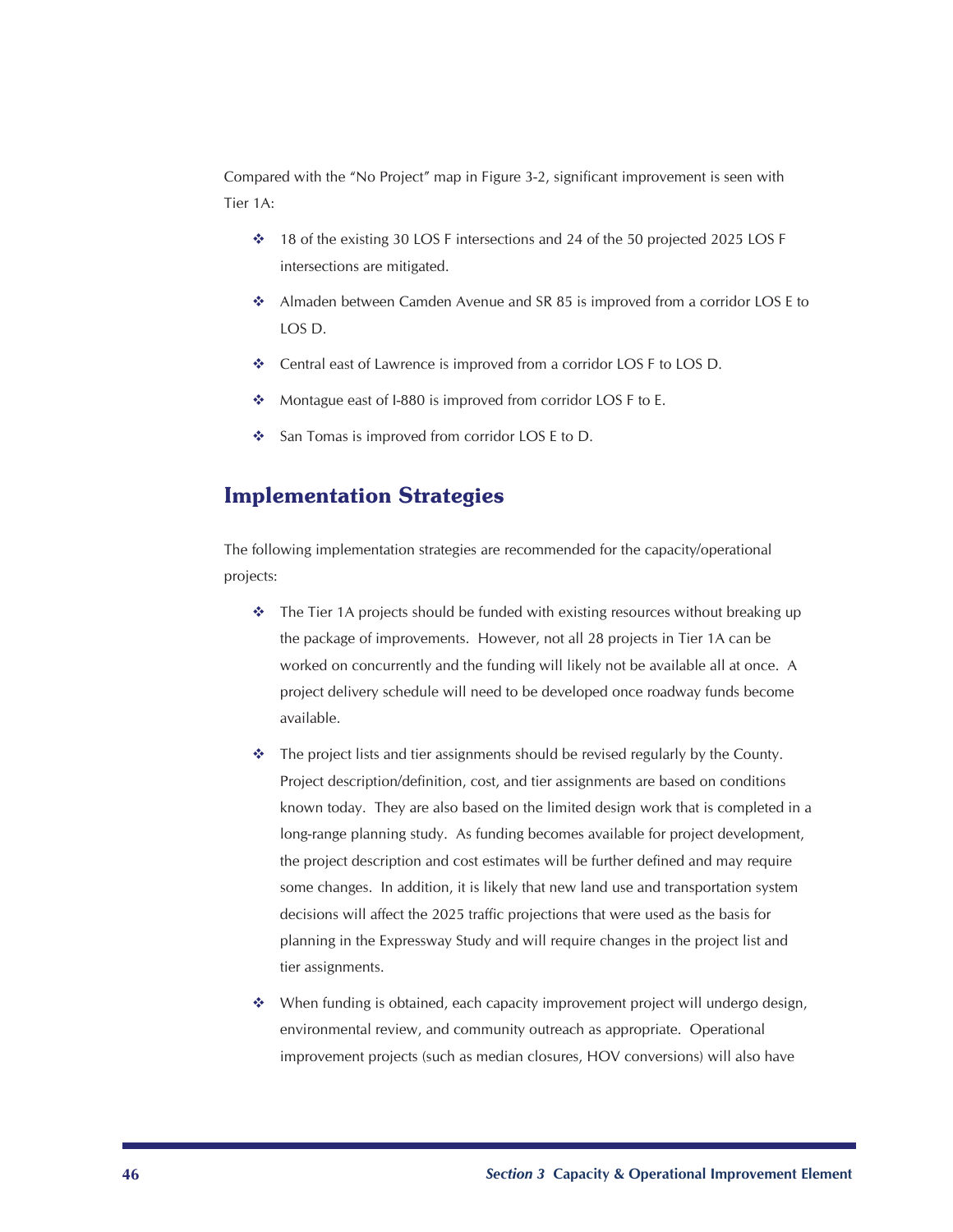Compared with the "No Project" map in Figure 3-2, significant improvement is seen with Tier 1A:

- 18 of the existing 30 LOS F intersections and 24 of the 50 projected 2025 LOS F intersections are mitigated.
- Almaden between Camden Avenue and SR 85 is improved from a corridor LOS E to LOS D.
- Central east of Lawrence is improved from a corridor LOS F to LOS D.
- \* Montague east of I-880 is improved from corridor LOS F to E.
- San Tomas is improved from corridor LOS E to D.

#### Implementation Strategies

The following implementation strategies are recommended for the capacity/operational projects:

- $\cdot \cdot$  The Tier 1A projects should be funded with existing resources without breaking up the package of improvements. However, not all 28 projects in Tier 1A can be worked on concurrently and the funding will likely not be available all at once. A project delivery schedule will need to be developed once roadway funds become available.
- $\triangle$  The project lists and tier assignments should be revised regularly by the County. Project description/definition, cost, and tier assignments are based on conditions known today. They are also based on the limited design work that is completed in a long-range planning study. As funding becomes available for project development, the project description and cost estimates will be further defined and may require some changes. In addition, it is likely that new land use and transportation system decisions will affect the 2025 traffic projections that were used as the basis for planning in the Expressway Study and will require changes in the project list and tier assignments.
- $\cdot$  When funding is obtained, each capacity improvement project will undergo design, environmental review, and community outreach as appropriate. Operational improvement projects (such as median closures, HOV conversions) will also have